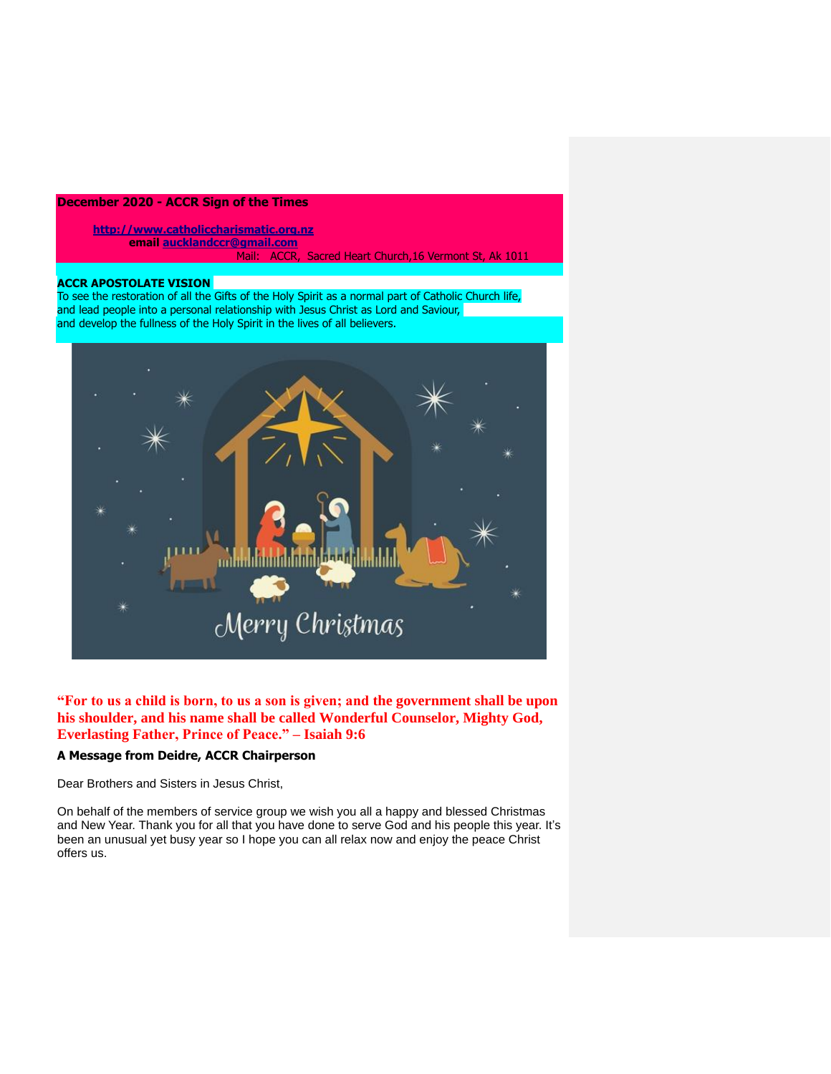# **December 2020 - ACCR Sign of the Times**

**[http://www.catholiccharismatic.org.nz](http://www.catholiccharismatic.org.nz/)  email [aucklandccr@gmail.com](mailto:aucklandccr@gmail.com)** Mail: ACCR, Sacred Heart Church,16 Vermont St, Ak 1011

## **ACCR APOSTOLATE VISION**

To see the restoration of all the Gifts of the Holy Spirit as a normal part of Catholic Church life, and lead people into a personal relationship with Jesus Christ as Lord and Saviour, and develop the fullness of the Holy Spirit in the lives of all believers.



**"For to us a child is born, to us a son is given; and the government shall be upon his shoulder, and his name shall be called Wonderful Counselor, Mighty God, Everlasting Father, Prince of Peace." – Isaiah 9:6**

# **A Message from Deidre, ACCR Chairperson**

Dear Brothers and Sisters in Jesus Christ,

On behalf of the members of service group we wish you all a happy and blessed Christmas and New Year. Thank you for all that you have done to serve God and his people this year. It's been an unusual yet busy year so I hope you can all relax now and enjoy the peace Christ offers us.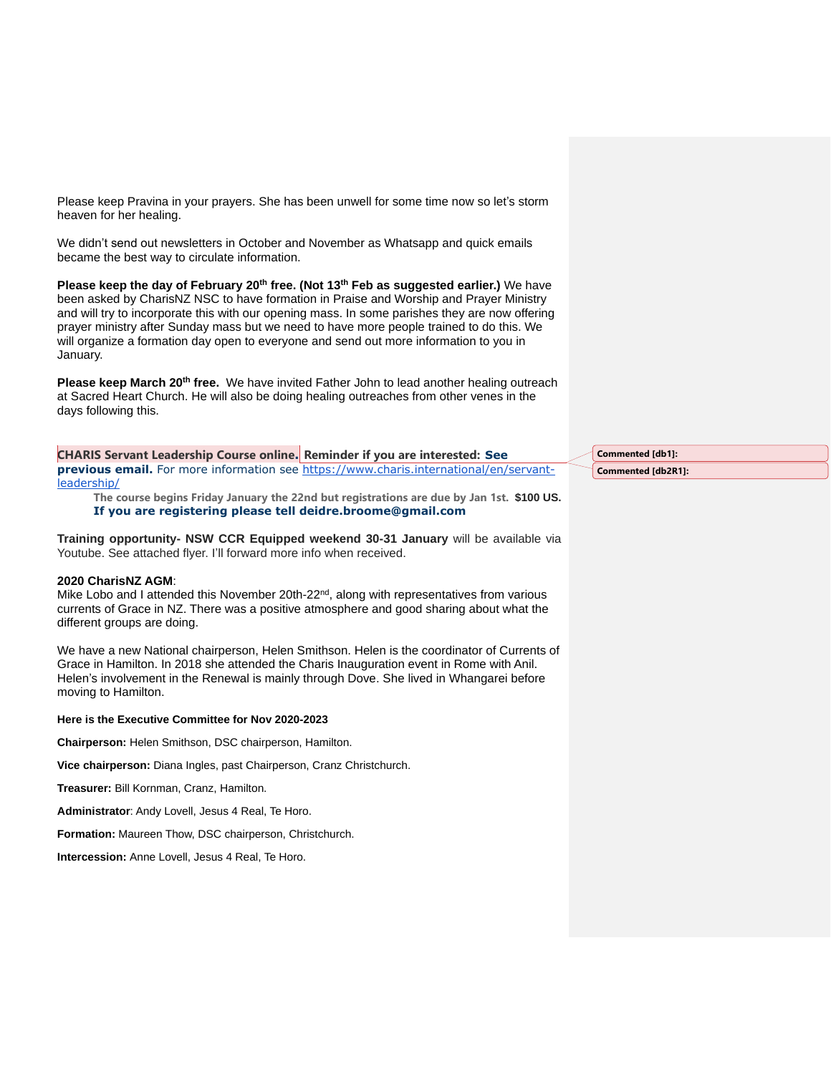Please keep Pravina in your prayers. She has been unwell for some time now so let's storm heaven for her healing.

We didn't send out newsletters in October and November as Whatsapp and quick emails became the best way to circulate information.

**Please keep the day of February 20th free. (Not 13th Feb as suggested earlier.)** We have been asked by CharisNZ NSC to have formation in Praise and Worship and Prayer Ministry and will try to incorporate this with our opening mass. In some parishes they are now offering prayer ministry after Sunday mass but we need to have more people trained to do this. We will organize a formation day open to everyone and send out more information to you in January.

**Please keep March 20th free.** We have invited Father John to lead another healing outreach at Sacred Heart Church. He will also be doing healing outreaches from other venes in the days following this.

**CHARIS Servant Leadership Course online. Reminder if you are interested: See previous email.** For more information see [https://www.charis.international/en/servant](https://www.charis.international/en/servant-leadership/)[leadership/](https://www.charis.international/en/servant-leadership/)

**The course begins Friday January the 22nd but registrations are due by Jan 1st. \$100 US. If you are registering please tell deidre.broome@gmail.com**

**Training opportunity- NSW CCR Equipped weekend 30-31 January** will be available via Youtube. See attached flyer. I'll forward more info when received.

#### **2020 CharisNZ AGM**:

Mike Lobo and I attended this November 20th-22<sup>nd</sup>, along with representatives from various currents of Grace in NZ. There was a positive atmosphere and good sharing about what the different groups are doing.

We have a new National chairperson, Helen Smithson. Helen is the coordinator of Currents of Grace in Hamilton. In 2018 she attended the Charis Inauguration event in Rome with Anil. Helen's involvement in the Renewal is mainly through Dove. She lived in Whangarei before moving to Hamilton.

#### **Here is the Executive Committee for Nov 2020-2023**

**Chairperson:** Helen Smithson, DSC chairperson, Hamilton.

**Vice chairperson:** Diana Ingles, past Chairperson, Cranz Christchurch.

**Treasurer:** Bill Kornman, Cranz, Hamilton.

**Administrator**: Andy Lovell, Jesus 4 Real, Te Horo.

**Formation:** Maureen Thow, DSC chairperson, Christchurch.

**Intercession:** Anne Lovell, Jesus 4 Real, Te Horo.

**Commented [db1]: Commented [db2R1]:**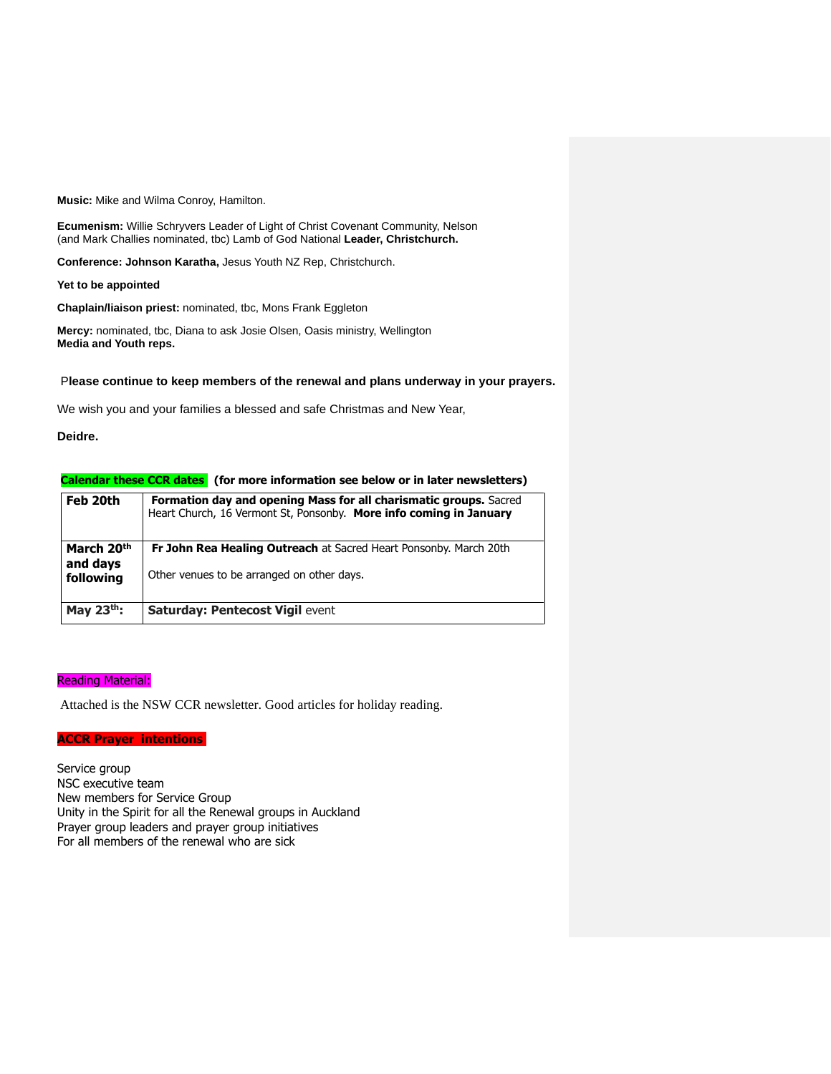**Music:** Mike and Wilma Conroy, Hamilton.

**Ecumenism:** Willie Schryvers Leader of Light of Christ Covenant Community, Nelson (and Mark Challies nominated, tbc) Lamb of God National **Leader, Christchurch.**

**Conference: Johnson Karatha,** Jesus Youth NZ Rep, Christchurch.

#### **Yet to be appointed**

**Chaplain/liaison priest:** nominated, tbc, Mons Frank Eggleton

**Mercy:** nominated, tbc, Diana to ask Josie Olsen, Oasis ministry, Wellington **Media and Youth reps.**

## P**lease continue to keep members of the renewal and plans underway in your prayers.**

We wish you and your families a blessed and safe Christmas and New Year,

### **Deidre.**

#### **Calendar these CCR dates (for more information see below or in later newsletters)**

| Feb 20th                                        | <b>Formation day and opening Mass for all charismatic groups.</b> Sacred<br>Heart Church, 16 Vermont St, Ponsonby. More info coming in January |
|-------------------------------------------------|------------------------------------------------------------------------------------------------------------------------------------------------|
| March 20 <sup>th</sup><br>and days<br>following | Fr John Rea Healing Outreach at Sacred Heart Ponsonby. March 20th<br>Other venues to be arranged on other days.                                |
| May $23th$ :                                    | <b>Saturday: Pentecost Vigil event</b>                                                                                                         |

#### Reading Material:

Attached is the NSW CCR newsletter. Good articles for holiday reading.

## **ACCR Prayer intentions**

Service group NSC executive team New members for Service Group Unity in the Spirit for all the Renewal groups in Auckland Prayer group leaders and prayer group initiatives For all members of the renewal who are sick